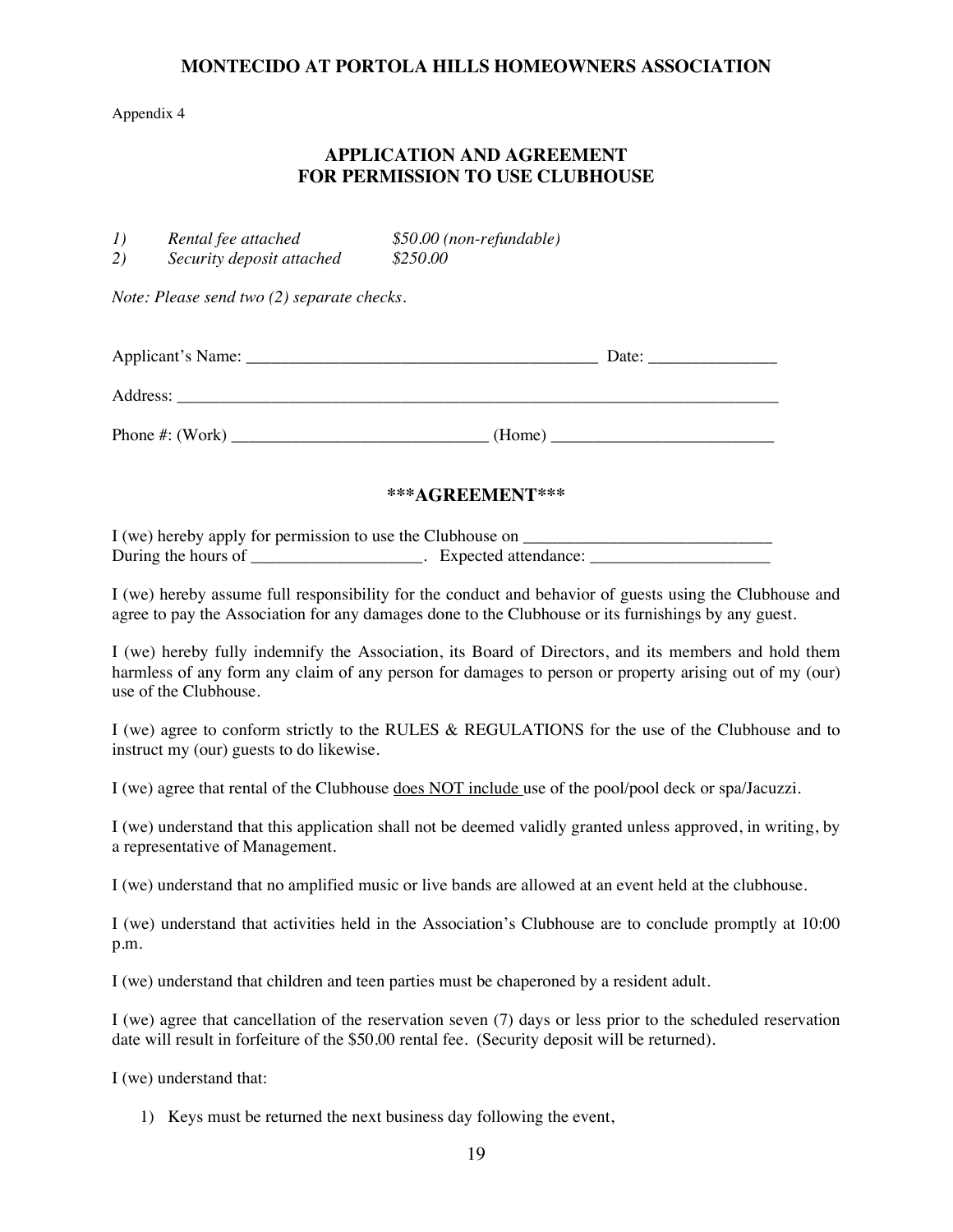### **MONTECIDO AT PORTOLA HILLS HOMEOWNERS ASSOCIATION**

#### Appendix 4

### **APPLICATION AND AGREEMENT FOR PERMISSION TO USE CLUBHOUSE**

| I) | Rental fee attached       | $$50.00$ (non-refundable) |
|----|---------------------------|---------------------------|
| 2) | Security deposit attached | \$250.00                  |

*Note: Please send two (2) separate checks.* 

| Applicant's Name:   | Date:  |
|---------------------|--------|
| Address:            |        |
| Phone $\#$ : (Work) | (Home) |

#### **\*\*\*AGREEMENT\*\*\***

I (we) hereby apply for permission to use the Clubhouse on \_\_\_\_\_\_\_\_\_\_\_\_\_\_\_\_\_\_\_\_\_\_ During the hours of \_\_\_\_\_\_\_\_\_\_\_\_\_\_\_\_\_\_\_\_. Expected attendance: \_\_\_\_\_\_\_\_\_\_\_\_\_\_\_\_\_\_\_\_\_\_\_\_

I (we) hereby assume full responsibility for the conduct and behavior of guests using the Clubhouse and agree to pay the Association for any damages done to the Clubhouse or its furnishings by any guest.

I (we) hereby fully indemnify the Association, its Board of Directors, and its members and hold them harmless of any form any claim of any person for damages to person or property arising out of my (our) use of the Clubhouse.

I (we) agree to conform strictly to the RULES & REGULATIONS for the use of the Clubhouse and to instruct my (our) guests to do likewise.

I (we) agree that rental of the Clubhouse does NOT include use of the pool/pool deck or spa/Jacuzzi.

I (we) understand that this application shall not be deemed validly granted unless approved, in writing, by a representative of Management.

I (we) understand that no amplified music or live bands are allowed at an event held at the clubhouse.

I (we) understand that activities held in the Association's Clubhouse are to conclude promptly at 10:00 p.m.

I (we) understand that children and teen parties must be chaperoned by a resident adult.

I (we) agree that cancellation of the reservation seven (7) days or less prior to the scheduled reservation date will result in forfeiture of the \$50.00 rental fee. (Security deposit will be returned).

I (we) understand that:

1) Keys must be returned the next business day following the event,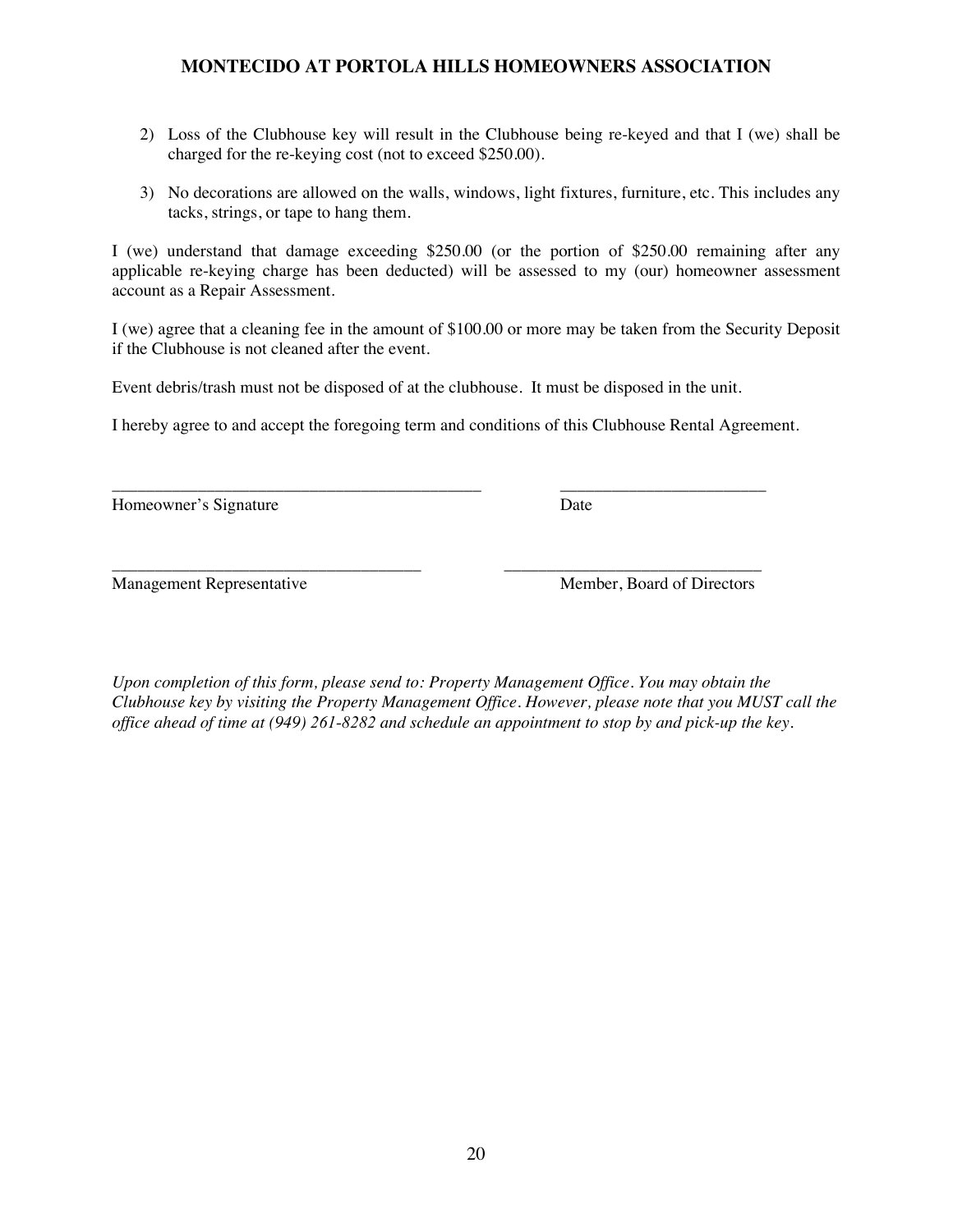## **MONTECIDO AT PORTOLA HILLS HOMEOWNERS ASSOCIATION**

- 2) Loss of the Clubhouse key will result in the Clubhouse being re-keyed and that I (we) shall be charged for the re-keying cost (not to exceed \$250.00).
- 3) No decorations are allowed on the walls, windows, light fixtures, furniture, etc. This includes any tacks, strings, or tape to hang them.

I (we) understand that damage exceeding \$250.00 (or the portion of \$250.00 remaining after any applicable re-keying charge has been deducted) will be assessed to my (our) homeowner assessment account as a Repair Assessment.

I (we) agree that a cleaning fee in the amount of \$100.00 or more may be taken from the Security Deposit if the Clubhouse is not cleaned after the event.

Event debris/trash must not be disposed of at the clubhouse. It must be disposed in the unit.

I hereby agree to and accept the foregoing term and conditions of this Clubhouse Rental Agreement.

\_\_\_\_\_\_\_\_\_\_\_\_\_\_\_\_\_\_\_\_\_\_\_\_\_\_\_\_\_\_\_\_\_\_\_\_\_\_\_\_\_\_\_ \_\_\_\_\_\_\_\_\_\_\_\_\_\_\_\_\_\_\_\_\_\_\_\_ Homeowner's Signature Date

\_\_\_\_\_\_\_\_\_\_\_\_\_\_\_\_\_\_\_\_\_\_\_\_\_\_\_\_\_\_\_\_\_\_\_\_ \_\_\_\_\_\_\_\_\_\_\_\_\_\_\_\_\_\_\_\_\_\_\_\_\_\_\_\_\_\_ Management Representative Member, Board of Directors

*Upon completion of this form, please send to: Property Management Office. You may obtain the Clubhouse key by visiting the Property Management Office. However, please note that you MUST call the office ahead of time at (949) 261-8282 and schedule an appointment to stop by and pick-up the key.*